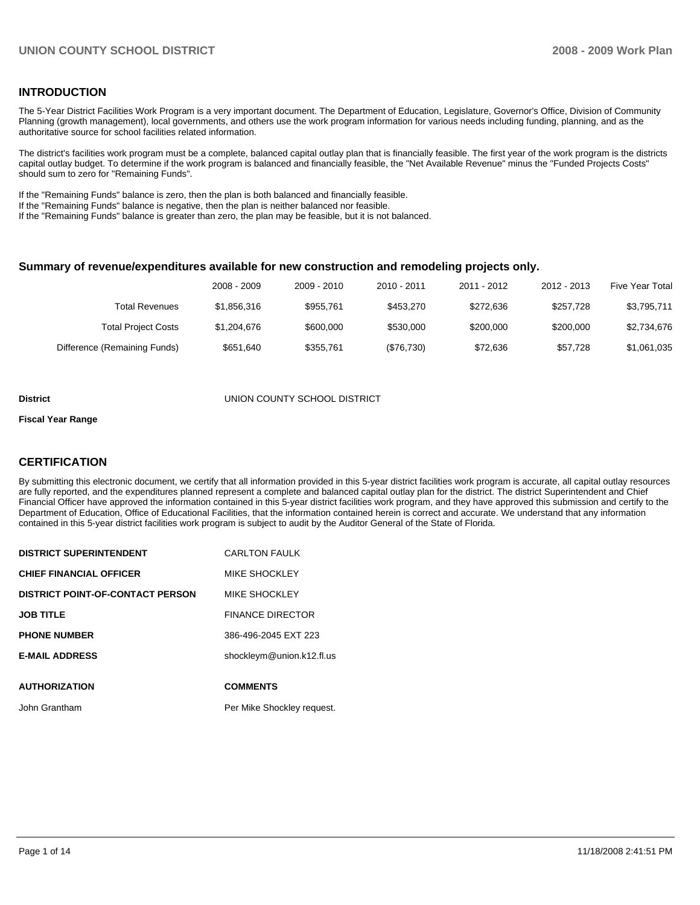## **INTRODUCTION**

The 5-Year District Facilities Work Program is a very important document. The Department of Education, Legislature, Governor's Office, Division of Community Planning (growth management), local governments, and others use the work program information for various needs including funding, planning, and as the authoritative source for school facilities related information.

The district's facilities work program must be a complete, balanced capital outlay plan that is financially feasible. The first year of the work program is the districts capital outlay budget. To determine if the work program is balanced and financially feasible, the "Net Available Revenue" minus the "Funded Projects Costs" should sum to zero for "Remaining Funds".

If the "Remaining Funds" balance is zero, then the plan is both balanced and financially feasible.

If the "Remaining Funds" balance is negative, then the plan is neither balanced nor feasible.

If the "Remaining Funds" balance is greater than zero, the plan may be feasible, but it is not balanced.

### **Summary of revenue/expenditures available for new construction and remodeling projects only.**

|                              | 2008 - 2009 | 2009 - 2010 | 2010 - 2011 | 2011 - 2012 | 2012 - 2013 | <b>Five Year Total</b> |
|------------------------------|-------------|-------------|-------------|-------------|-------------|------------------------|
| Total Revenues               | \$1,856,316 | \$955.761   | \$453.270   | \$272.636   | \$257.728   | \$3,795,711            |
| <b>Total Project Costs</b>   | \$1,204,676 | \$600,000   | \$530,000   | \$200,000   | \$200,000   | \$2,734,676            |
| Difference (Remaining Funds) | \$651.640   | \$355.761   | (\$76,730)  | \$72.636    | \$57.728    | \$1,061,035            |

#### **District** UNION COUNTY SCHOOL DISTRICT

#### **Fiscal Year Range**

## **CERTIFICATION**

By submitting this electronic document, we certify that all information provided in this 5-year district facilities work program is accurate, all capital outlay resources are fully reported, and the expenditures planned represent a complete and balanced capital outlay plan for the district. The district Superintendent and Chief Financial Officer have approved the information contained in this 5-year district facilities work program, and they have approved this submission and certify to the Department of Education, Office of Educational Facilities, that the information contained herein is correct and accurate. We understand that any information contained in this 5-year district facilities work program is subject to audit by the Auditor General of the State of Florida.

| <b>DISTRICT SUPERINTENDENT</b>          | <b>CARLTON FAULK</b>       |
|-----------------------------------------|----------------------------|
| <b>CHIEF FINANCIAL OFFICER</b>          | MIKE SHOCKLEY              |
| <b>DISTRICT POINT-OF-CONTACT PERSON</b> | MIKE SHOCKLEY              |
| <b>JOB TITLE</b>                        | <b>FINANCE DIRECTOR</b>    |
| <b>PHONE NUMBER</b>                     | 386-496-2045 EXT 223       |
| <b>E-MAIL ADDRESS</b>                   | shockleym@union.k12.fl.us  |
| <b>AUTHORIZATION</b>                    | <b>COMMENTS</b>            |
|                                         |                            |
| John Grantham                           | Per Mike Shockley request. |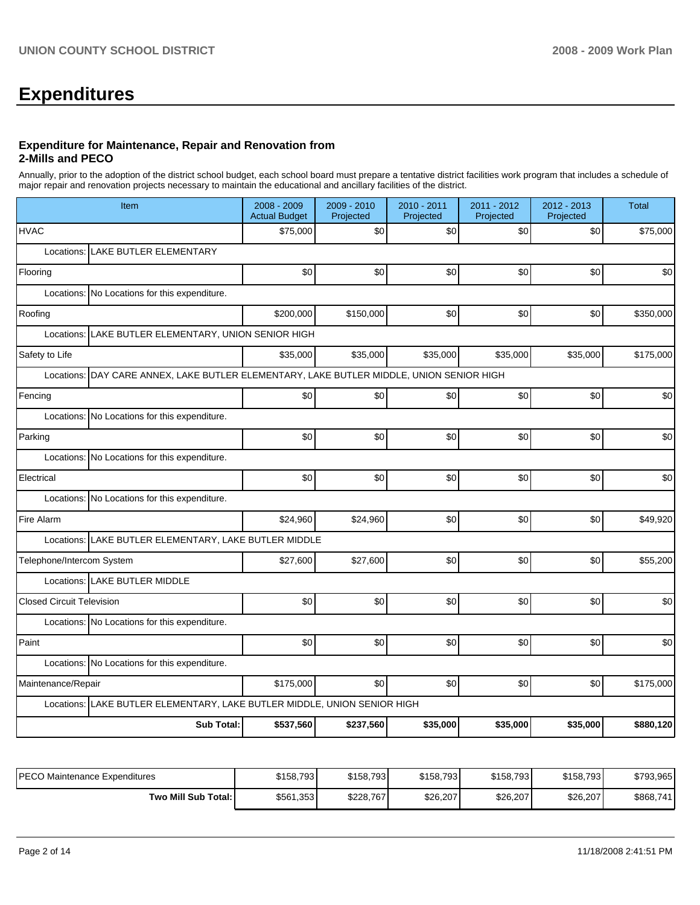# **Expenditures**

### **Expenditure for Maintenance, Repair and Renovation from 2-Mills and PECO**

Annually, prior to the adoption of the district school budget, each school board must prepare a tentative district facilities work program that includes a schedule of major repair and renovation projects necessary to maintain the educational and ancillary facilities of the district.

| Item                                                                                        | 2008 - 2009<br><b>Actual Budget</b> | 2009 - 2010<br>Projected | 2010 - 2011<br>Projected | 2011 - 2012<br>Projected | $2012 - 2013$<br>Projected | <b>Total</b> |  |  |  |  |  |
|---------------------------------------------------------------------------------------------|-------------------------------------|--------------------------|--------------------------|--------------------------|----------------------------|--------------|--|--|--|--|--|
| <b>HVAC</b>                                                                                 | \$75,000                            | \$0                      | \$0                      | \$0                      | \$0                        | \$75,000     |  |  |  |  |  |
| LAKE BUTLER ELEMENTARY<br>Locations:                                                        |                                     |                          |                          |                          |                            |              |  |  |  |  |  |
| Flooring                                                                                    | \$0                                 | \$0                      | \$0                      | \$0                      | \$0                        | \$0          |  |  |  |  |  |
| Locations:<br>No Locations for this expenditure.                                            |                                     |                          |                          |                          |                            |              |  |  |  |  |  |
| Roofing                                                                                     | \$200,000                           | \$150,000                | \$0                      | \$0                      | \$0                        | \$350,000    |  |  |  |  |  |
| LAKE BUTLER ELEMENTARY, UNION SENIOR HIGH<br>Locations:                                     |                                     |                          |                          |                          |                            |              |  |  |  |  |  |
| Safety to Life                                                                              | \$35,000                            | \$35,000                 | \$35,000                 | \$35,000                 | \$35,000                   | \$175,000    |  |  |  |  |  |
| DAY CARE ANNEX, LAKE BUTLER ELEMENTARY, LAKE BUTLER MIDDLE, UNION SENIOR HIGH<br>Locations: |                                     |                          |                          |                          |                            |              |  |  |  |  |  |
| Fencing                                                                                     | \$0                                 | \$0                      | \$0                      | \$0                      | \$0                        | \$0          |  |  |  |  |  |
| Locations:<br>No Locations for this expenditure.                                            |                                     |                          |                          |                          |                            |              |  |  |  |  |  |
| Parking                                                                                     | \$0                                 | \$0                      | \$0                      | \$0                      | \$0                        | \$0          |  |  |  |  |  |
| Locations: No Locations for this expenditure.                                               |                                     |                          |                          |                          |                            |              |  |  |  |  |  |
| Electrical                                                                                  | \$0                                 | \$0                      | \$0                      | \$0                      | \$0                        | \$0          |  |  |  |  |  |
| Locations: No Locations for this expenditure.                                               |                                     |                          |                          |                          |                            |              |  |  |  |  |  |
| Fire Alarm                                                                                  | \$24,960                            | \$24,960                 | \$0                      | \$0                      | \$0                        | \$49,920     |  |  |  |  |  |
| Locations: LAKE BUTLER ELEMENTARY, LAKE BUTLER MIDDLE                                       |                                     |                          |                          |                          |                            |              |  |  |  |  |  |
| Telephone/Intercom System                                                                   | \$27,600                            | \$27,600                 | \$0                      | \$0                      | \$0                        | \$55,200     |  |  |  |  |  |
| Locations: LAKE BUTLER MIDDLE                                                               |                                     |                          |                          |                          |                            |              |  |  |  |  |  |
| <b>Closed Circuit Television</b>                                                            | \$0                                 | \$0                      | \$0                      | \$0                      | \$0                        | \$0          |  |  |  |  |  |
| Locations: No Locations for this expenditure.                                               |                                     |                          |                          |                          |                            |              |  |  |  |  |  |
| Paint                                                                                       | \$0                                 | \$0                      | \$0                      | \$0                      | \$0                        | \$0          |  |  |  |  |  |
| Locations: No Locations for this expenditure.                                               |                                     |                          |                          |                          |                            |              |  |  |  |  |  |
| Maintenance/Repair                                                                          | \$175,000                           | \$0                      | \$0                      | \$0                      | \$0                        | \$175,000    |  |  |  |  |  |
| LAKE BUTLER ELEMENTARY, LAKE BUTLER MIDDLE, UNION SENIOR HIGH<br>Locations:                 |                                     |                          |                          |                          |                            |              |  |  |  |  |  |
| <b>Sub Total:</b>                                                                           | \$537,560                           | \$237,560                | \$35,000                 | \$35,000                 | \$35,000                   | \$880,120    |  |  |  |  |  |

| IPECO Maintenance Expenditures | \$158,793 | \$158.7931 | \$158,793 | \$158,793 | \$158.793 | \$793,965 |
|--------------------------------|-----------|------------|-----------|-----------|-----------|-----------|
| <b>Two Mill Sub Total:</b>     | \$561,353 | \$228,767  | \$26,207  | \$26,207  | \$26,207  | \$868,741 |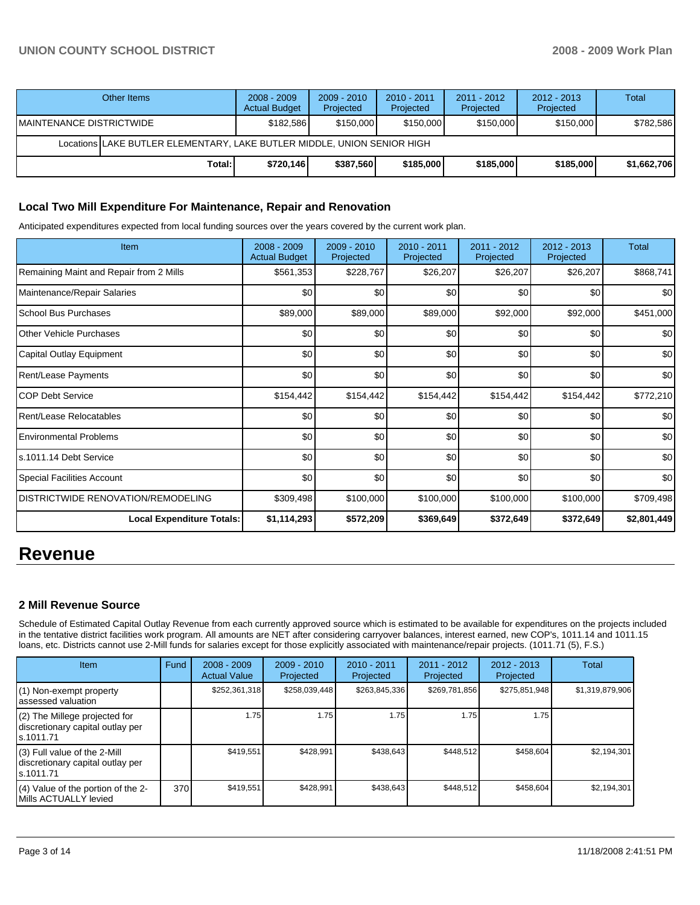| Other Items                                                             |        | $2008 - 2009$<br><b>Actual Budget</b> | $2009 - 2010$<br>Projected | $2010 - 2011$<br>Projected | $2011 - 2012$<br>Projected | $2012 - 2013$<br>Projected | Total       |  |  |
|-------------------------------------------------------------------------|--------|---------------------------------------|----------------------------|----------------------------|----------------------------|----------------------------|-------------|--|--|
| IMAINTENANCE DISTRICTWIDE                                               |        | \$182.586                             | \$150,000                  | \$150,000                  | \$150,000                  | \$150,000                  | \$782,586   |  |  |
| Locations LAKE BUTLER ELEMENTARY, LAKE BUTLER MIDDLE, UNION SENIOR HIGH |        |                                       |                            |                            |                            |                            |             |  |  |
|                                                                         | Total: | \$720,146                             | \$387,560                  | \$185,000                  | \$185,000                  | \$185,000                  | \$1,662,706 |  |  |

## **Local Two Mill Expenditure For Maintenance, Repair and Renovation**

Anticipated expenditures expected from local funding sources over the years covered by the current work plan.

| Item                                      | $2008 - 2009$<br><b>Actual Budget</b> | 2009 - 2010<br>Projected | $2010 - 2011$<br>Projected | 2011 - 2012<br>Projected | 2012 - 2013<br>Projected | Total       |
|-------------------------------------------|---------------------------------------|--------------------------|----------------------------|--------------------------|--------------------------|-------------|
| Remaining Maint and Repair from 2 Mills   | \$561,353                             | \$228,767                | \$26,207                   | \$26,207                 | \$26,207                 | \$868,741   |
| Maintenance/Repair Salaries               | \$0                                   | \$0                      | \$0                        | \$0                      | \$0                      | \$0         |
| <b>School Bus Purchases</b>               | \$89,000                              | \$89,000                 | \$89,000                   | \$92,000                 | \$92,000                 | \$451,000   |
| <b>Other Vehicle Purchases</b>            | \$0                                   | \$0                      | \$0                        | \$0                      | \$0                      | \$0         |
| Capital Outlay Equipment                  | \$0                                   | \$0                      | \$0                        | \$0                      | \$0                      | \$0         |
| Rent/Lease Payments                       | \$0                                   | \$0                      | \$0                        | \$0                      | \$0                      | \$0         |
| ICOP Debt Service                         | \$154,442                             | \$154,442                | \$154,442                  | \$154,442                | \$154,442                | \$772,210   |
| Rent/Lease Relocatables                   | \$0                                   | \$0                      | \$0                        | \$0                      | \$0                      | \$0         |
| <b>Environmental Problems</b>             | \$0                                   | \$0                      | \$0                        | \$0                      | \$0                      | \$0         |
| ls.1011.14 Debt Service                   | \$0                                   | \$0                      | \$0                        | \$0                      | \$0                      | \$0         |
| Special Facilities Account                | \$0                                   | \$0                      | \$0                        | \$0                      | \$0                      | \$0         |
| <b>DISTRICTWIDE RENOVATION/REMODELING</b> | \$309,498                             | \$100,000                | \$100,000                  | \$100,000                | \$100,000                | \$709,498   |
| Local Expenditure Totals:                 | \$1,114,293                           | \$572,209                | \$369,649                  | \$372,649                | \$372,649                | \$2,801,449 |

# **Revenue**

# **2 Mill Revenue Source**

Schedule of Estimated Capital Outlay Revenue from each currently approved source which is estimated to be available for expenditures on the projects included in the tentative district facilities work program. All amounts are NET after considering carryover balances, interest earned, new COP's, 1011.14 and 1011.15 loans, etc. Districts cannot use 2-Mill funds for salaries except for those explicitly associated with maintenance/repair projects. (1011.71 (5), F.S.)

| <b>Item</b>                                                                    | Fund | $2008 - 2009$<br><b>Actual Value</b> | $2009 - 2010$<br>Projected | $2010 - 2011$<br>Projected | $2011 - 2012$<br>Projected | $2012 - 2013$<br>Projected | Total           |
|--------------------------------------------------------------------------------|------|--------------------------------------|----------------------------|----------------------------|----------------------------|----------------------------|-----------------|
| (1) Non-exempt property<br>assessed valuation                                  |      | \$252,361,318                        | \$258,039,448              | \$263,845,336              | \$269,781,856              | \$275,851,948              | \$1,319,879,906 |
| (2) The Millege projected for<br>discretionary capital outlay per<br>s.1011.71 |      | 1.75                                 | 1.75 l                     | 1.75                       | 1.75                       | 1.75                       |                 |
| (3) Full value of the 2-Mill<br>discretionary capital outlay per<br>s.1011.71  |      | \$419.551                            | \$428.991                  | \$438.643                  | \$448.512                  | \$458.604                  | \$2,194,301     |
| (4) Value of the portion of the 2-<br>Mills ACTUALLY levied                    | 370  | \$419,551                            | \$428,991                  | \$438.643                  | \$448.512                  | \$458,604                  | \$2,194,301     |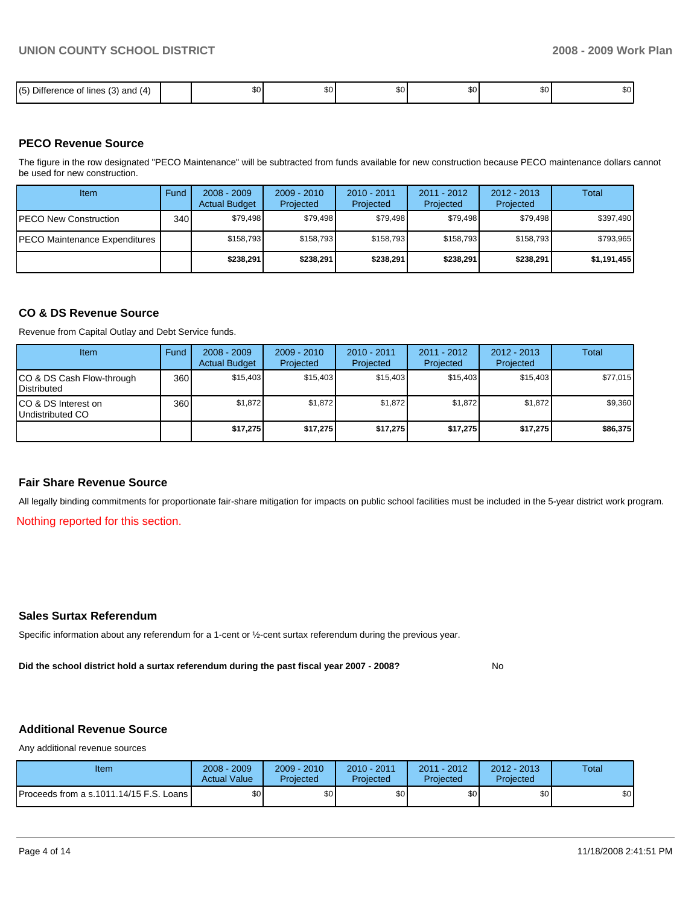| .<br>$- \cdot -$<br>15<br>$\overline{\phantom{a}}$<br>; (3) and<br>$\sim$<br><b>lines</b><br>14<br>Jitté<br>.<br>٠.<br>ີ | тn Алтинистика (1980)<br>1980 година (1980)<br>1980 година (1980)<br>æи. | \$0 l | ጦጣ<br>w | ሶስ<br>JU. | ጦጣ<br>JU. | m c<br>w |
|--------------------------------------------------------------------------------------------------------------------------|--------------------------------------------------------------------------|-------|---------|-----------|-----------|----------|

## **PECO Revenue Source**

The figure in the row designated "PECO Maintenance" will be subtracted from funds available for new construction because PECO maintenance dollars cannot be used for new construction.

| <b>Item</b>                           | Fund         | $2008 - 2009$<br><b>Actual Budget</b> | $2009 - 2010$<br>Projected | 2010 - 2011<br>Projected | $2011 - 2012$<br>Projected | $2012 - 2013$<br>Projected | Total       |
|---------------------------------------|--------------|---------------------------------------|----------------------------|--------------------------|----------------------------|----------------------------|-------------|
| IPECO New Construction                | 340 <b>I</b> | \$79.498                              | \$79.498                   | \$79.498                 | \$79.498                   | \$79,498                   | \$397,490   |
| <b>IPECO Maintenance Expenditures</b> |              | \$158,793                             | \$158.793                  | \$158.793                | \$158.793                  | \$158,793                  | \$793,965   |
|                                       |              | \$238,291                             | \$238.291                  | \$238.291                | \$238.291                  | \$238,291                  | \$1,191,455 |

## **CO & DS Revenue Source**

Revenue from Capital Outlay and Debt Service funds.

| Item                                               | Fund | $2008 - 2009$<br><b>Actual Budget</b> | $2009 - 2010$<br>Projected | $2010 - 2011$<br>Projected | 2011 - 2012<br>Projected | $2012 - 2013$<br>Projected | Total    |
|----------------------------------------------------|------|---------------------------------------|----------------------------|----------------------------|--------------------------|----------------------------|----------|
| ICO & DS Cash Flow-through<br><b>I</b> Distributed | 360  | \$15.403                              | \$15.403                   | \$15.403                   | \$15,403                 | \$15.403                   | \$77,015 |
| ICO & DS Interest on<br>Undistributed CO           | 360  | \$1,872                               | \$1,872                    | \$1,872                    | \$1,872                  | \$1,872                    | \$9,360  |
|                                                    |      | \$17.275                              | \$17,275                   | \$17,275                   | \$17,275                 | \$17,275                   | \$86,375 |

## **Fair Share Revenue Source**

All legally binding commitments for proportionate fair-share mitigation for impacts on public school facilities must be included in the 5-year district work program.

Nothing reported for this section.

## **Sales Surtax Referendum**

Specific information about any referendum for a 1-cent or ½-cent surtax referendum during the previous year.

**Did the school district hold a surtax referendum during the past fiscal year 2007 - 2008?** No

# **Additional Revenue Source**

Any additional revenue sources

| Item                                      | 2008 - 2009<br><b>Actual Value</b> | $2009 - 2010$<br>Projected | 2010 - 2011<br>Projected | 2011 - 2012<br>Projected | 2012 - 2013<br>Projected | Total |
|-------------------------------------------|------------------------------------|----------------------------|--------------------------|--------------------------|--------------------------|-------|
| Proceeds from a s.1011.14/15 F.S. Loans I | ጥ.<br>υU                           | ¢Λ<br>υU                   | \$0                      | \$0                      | \$0                      | \$0   |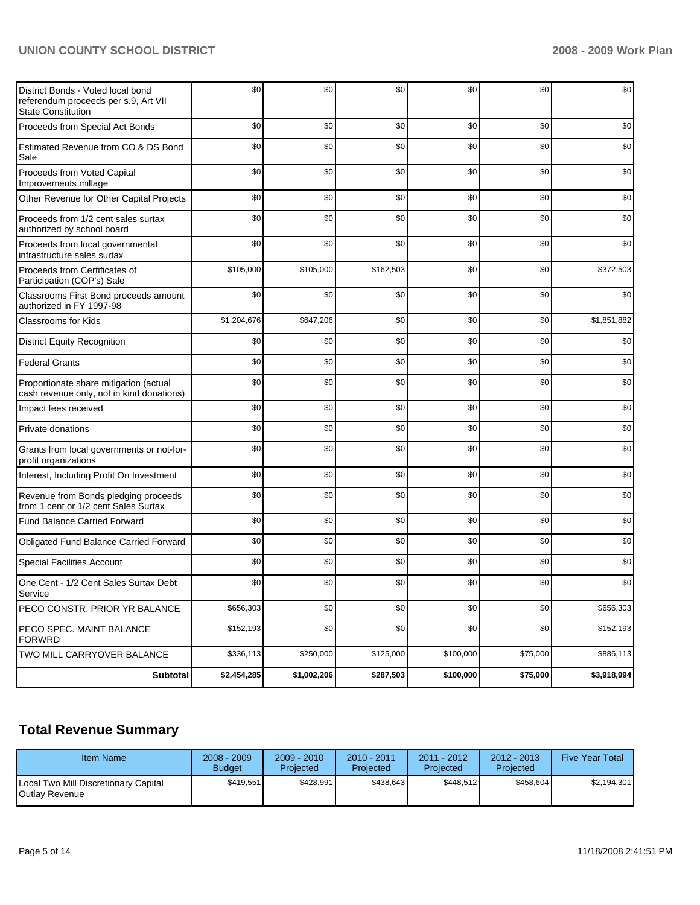# **UNION COUNTY SCHOOL DISTRICT 2008 - 2009 Work Plan**

| District Bonds - Voted local bond<br>referendum proceeds per s.9, Art VII<br><b>State Constitution</b> | \$0         | \$0         | \$0       | \$0       | \$0      | \$0         |
|--------------------------------------------------------------------------------------------------------|-------------|-------------|-----------|-----------|----------|-------------|
| Proceeds from Special Act Bonds                                                                        | \$0         | \$0         | \$0       | \$0       | \$0      | \$0         |
| Estimated Revenue from CO & DS Bond<br>Sale                                                            | \$0         | \$0         | \$0       | \$0       | \$0      | \$0         |
| Proceeds from Voted Capital<br>Improvements millage                                                    | \$0         | \$0         | \$0       | \$0       | \$0      | \$0         |
| Other Revenue for Other Capital Projects                                                               | \$0         | \$0         | \$0       | \$0       | \$0      | \$0         |
| Proceeds from 1/2 cent sales surtax<br>authorized by school board                                      | \$0         | \$0         | \$0       | \$0       | \$0      | \$0         |
| Proceeds from local governmental<br>infrastructure sales surtax                                        | \$0         | \$0         | \$0       | \$0       | \$0      | \$0         |
| Proceeds from Certificates of<br>Participation (COP's) Sale                                            | \$105,000   | \$105,000   | \$162,503 | \$0       | \$0      | \$372,503   |
| Classrooms First Bond proceeds amount<br>authorized in FY 1997-98                                      | \$0         | \$0         | \$0       | \$0       | \$0      | \$0         |
| <b>Classrooms for Kids</b>                                                                             | \$1,204,676 | \$647,206   | \$0       | \$0       | \$0      | \$1,851,882 |
| <b>District Equity Recognition</b>                                                                     | \$0         | \$0         | \$0       | \$0       | \$0      | \$0         |
| <b>Federal Grants</b>                                                                                  | \$0         | \$0         | \$0       | \$0       | \$0      | \$0         |
| Proportionate share mitigation (actual<br>cash revenue only, not in kind donations)                    | \$0         | \$0         | \$0       | \$0       | \$0      | \$0         |
| Impact fees received                                                                                   | \$0         | \$0         | \$0       | \$0       | \$0      | \$0         |
| Private donations                                                                                      | \$0         | \$0         | \$0       | \$0       | \$0      | \$0         |
| Grants from local governments or not-for-<br>profit organizations                                      | \$0         | \$0         | \$0       | \$0       | \$0      | \$0         |
| Interest, Including Profit On Investment                                                               | \$0         | \$0         | \$0       | \$0       | \$0      | \$0         |
| Revenue from Bonds pledging proceeds<br>from 1 cent or 1/2 cent Sales Surtax                           | \$0         | \$0         | \$0       | \$0       | \$0      | \$0         |
| <b>Fund Balance Carried Forward</b>                                                                    | \$0         | \$0         | \$0       | \$0       | \$0      | \$0         |
| Obligated Fund Balance Carried Forward                                                                 | \$0         | \$0         | \$0       | \$0       | \$0      | \$0         |
| <b>Special Facilities Account</b>                                                                      | \$0         | \$0         | \$0       | \$0       | \$0      | \$0         |
| One Cent - 1/2 Cent Sales Surtax Debt<br>Service                                                       | \$0         | \$0         | \$0       | \$0       | \$0      | \$0         |
| PECO CONSTR. PRIOR YR BALANCE                                                                          | \$656,303   | \$0         | \$0       | \$0       | \$0      | \$656,303   |
| PECO SPEC. MAINT BALANCE<br><b>FORWRD</b>                                                              | \$152,193   | \$0         | \$0       | \$0       | \$0      | \$152,193   |
| TWO MILL CARRYOVER BALANCE                                                                             | \$336,113   | \$250,000   | \$125,000 | \$100,000 | \$75,000 | \$886,113   |
| Subtotal                                                                                               | \$2,454,285 | \$1,002,206 | \$287,503 | \$100,000 | \$75,000 | \$3,918,994 |

# **Total Revenue Summary**

| Item Name                                              | $2008 - 2009$<br><b>Budget</b> | $2009 - 2010$<br>Projected | $2010 - 2011$<br><b>Projected</b> | $2011 - 2012$<br>Projected | $2012 - 2013$<br>Projected | <b>Five Year Total</b> |
|--------------------------------------------------------|--------------------------------|----------------------------|-----------------------------------|----------------------------|----------------------------|------------------------|
| Local Two Mill Discretionary Capital<br>Outlay Revenue | \$419.551                      | \$428.991                  | \$438.643                         | \$448.512                  | \$458.604                  | \$2.194.301            |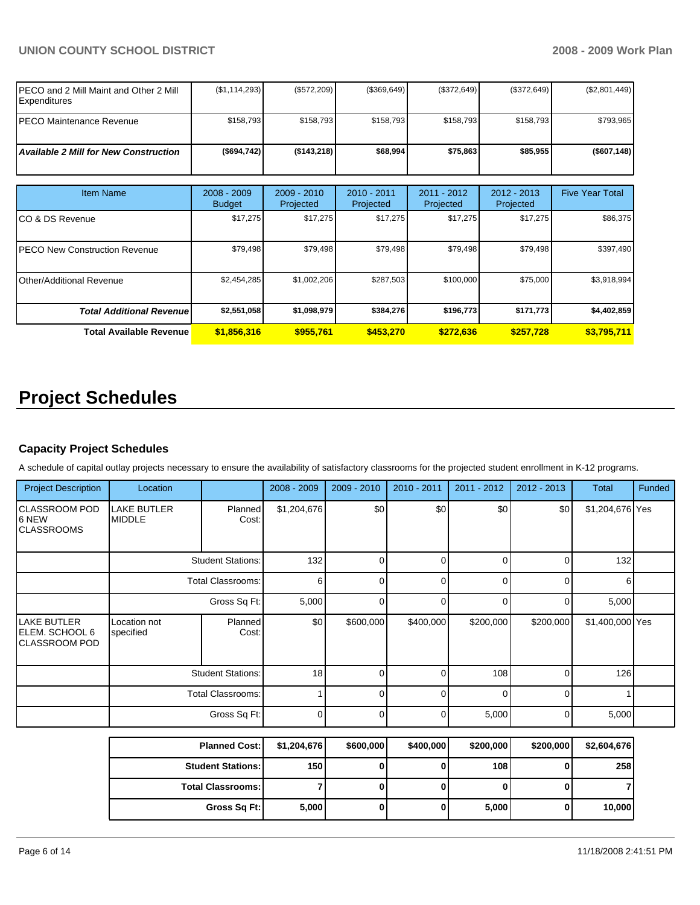# **UNION COUNTY SCHOOL DISTRICT 2008 - 2009 Work Plan**

| IPECO and 2 Mill Maint and Other 2 Mill<br><b>Expenditures</b> | (\$1,114,293)                | $(\$572,209)$            | (\$369,649)              | (\$372,649)              | (\$372,649)                | (\$2,801,449)          |
|----------------------------------------------------------------|------------------------------|--------------------------|--------------------------|--------------------------|----------------------------|------------------------|
| IPECO Maintenance Revenue                                      | \$158,793                    | \$158,793                | \$158,793                | \$158,793                | \$158,793                  | \$793,965              |
| <b>Available 2 Mill for New Construction</b>                   | (\$694,742)                  | (\$143,218)              | \$68,994                 | \$75,863                 | \$85,955                   | (\$607, 148)           |
|                                                                |                              |                          |                          |                          |                            |                        |
| <b>Item Name</b>                                               | 2008 - 2009<br><b>Budget</b> | 2009 - 2010<br>Projected | 2010 - 2011<br>Projected | 2011 - 2012<br>Projected | $2012 - 2013$<br>Projected | <b>Five Year Total</b> |
| ICO & DS Revenue                                               | \$17,275                     | \$17,275                 | \$17,275                 | \$17,275                 | \$17,275                   | \$86,375               |
| <b>IPECO New Construction Revenue</b>                          | \$79,498                     | \$79,498                 | \$79,498                 | \$79,498                 | \$79,498                   | \$397,490              |
| Other/Additional Revenue                                       | \$2,454,285                  | \$1,002,206              | \$287,503                | \$100,000                | \$75,000                   | \$3,918,994            |
| <b>Total Additional Revenue</b>                                | \$2,551,058                  | \$1,098,979              | \$384,276                | \$196,773                | \$171,773                  | \$4,402,859            |
| <b>Total Available Revenue</b>                                 | \$1,856,316                  | \$955,761                | \$453,270                | \$272,636                | \$257,728                  | \$3,795,711            |

# **Project Schedules**

# **Capacity Project Schedules**

A schedule of capital outlay projects necessary to ensure the availability of satisfactory classrooms for the projected student enrollment in K-12 programs.

| <b>Project Description</b>                      | Location                            |                  | 2008 - 2009 | 2009 - 2010 | 2010 - 2011 | 2011 - 2012 | 2012 - 2013 | Total           | Funded |
|-------------------------------------------------|-------------------------------------|------------------|-------------|-------------|-------------|-------------|-------------|-----------------|--------|
| CLASSROOM POD<br>16 NEW<br><b>CLASSROOMS</b>    | <b>LAKE BUTLER</b><br><b>MIDDLE</b> | Planned<br>Cost: | \$1,204,676 | \$0         | \$0         | \$0         | \$0         | \$1,204,676 Yes |        |
|                                                 | <b>Student Stations:</b>            |                  | 132         |             |             |             |             | 132             |        |
|                                                 | <b>Total Classrooms:</b>            |                  | 6           |             |             |             |             | 6               |        |
|                                                 | Gross Sq Ft:                        |                  | 5,000       |             |             |             |             | 5,000           |        |
| LAKE BUTLER<br>ELEM. SCHOOL 6<br> CLASSROOM POD | Location not<br>specified           | Planned<br>Cost: | \$0         | \$600,000   | \$400,000   | \$200,000   | \$200,000   | \$1,400,000 Yes |        |
|                                                 | <b>Student Stations:</b>            |                  | 18          |             |             | 108         | $\Omega$    | 126             |        |
|                                                 | <b>Total Classrooms:</b>            |                  |             |             | U           | 0           | U           |                 |        |
|                                                 |                                     | Gross Sq Ft:     | $\Omega$    | 0           | 0           | 5,000       | $\Omega$    | 5,000           |        |

| <b>Planned Cost:</b>       | \$1,204,676      | \$600,000 | \$400,000 | \$200,000 | \$200,000 | \$2,604,676 |
|----------------------------|------------------|-----------|-----------|-----------|-----------|-------------|
| <b>Student Stations: I</b> | 150 <sub>l</sub> |           |           | 108       |           | 258         |
| <b>Total Classrooms:</b>   |                  |           |           |           |           |             |
| Gross Sq Ft:               | 5,000            |           |           | 5,000     |           | 10,000      |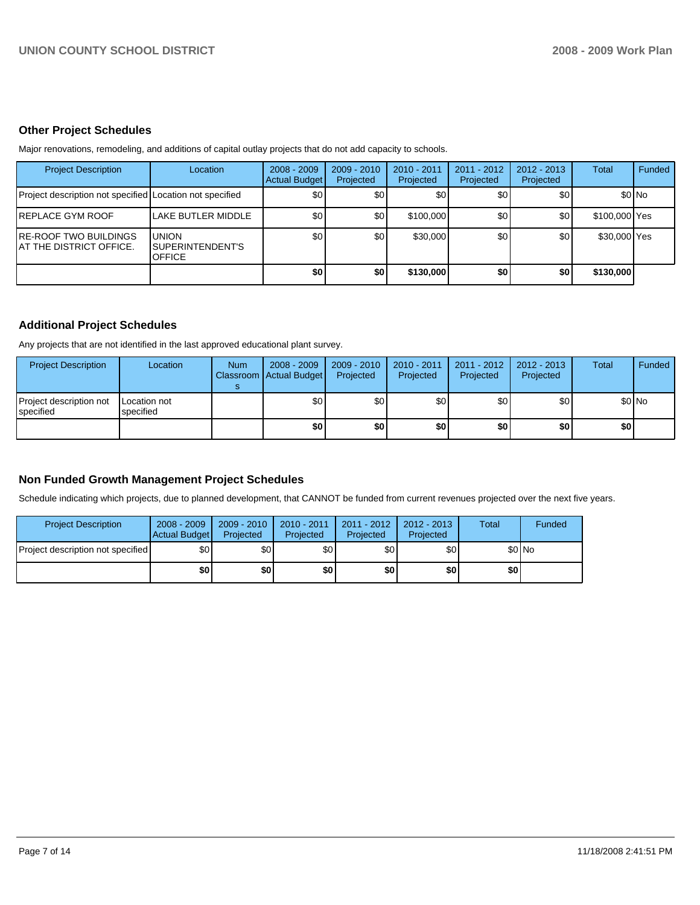# **Other Project Schedules**

Major renovations, remodeling, and additions of capital outlay projects that do not add capacity to schools.

| <b>Project Description</b>                               | Location                                                  | $2008 - 2009$<br><b>Actual Budget</b> | $2009 - 2010$<br>Projected | 2010 - 2011<br>Projected | $2011 - 2012$<br>Projected | $2012 - 2013$<br>Projected | Total         | Funded  |
|----------------------------------------------------------|-----------------------------------------------------------|---------------------------------------|----------------------------|--------------------------|----------------------------|----------------------------|---------------|---------|
| Project description not specified Location not specified |                                                           | \$0                                   | \$0                        | \$0                      | \$0                        | \$0 <sub>1</sub>           |               | $$0$ No |
| IREPLACE GYM ROOF                                        | LAKE BUTLER MIDDLE                                        | \$0                                   | \$0                        | \$100,000                | \$0                        | \$0                        | \$100,000 Yes |         |
| IRE-ROOF TWO BUILDINGS<br>IAT THE DISTRICT OFFICE.       | <b>UNION</b><br><b>ISUPERINTENDENT'S</b><br><b>OFFICE</b> | \$0                                   | \$0                        | \$30,000                 | \$0                        | \$0                        | \$30,000 Yes  |         |
|                                                          |                                                           | \$0                                   | \$0                        | \$130,000                | \$0                        | \$0                        | \$130,000     |         |

## **Additional Project Schedules**

Any projects that are not identified in the last approved educational plant survey.

| <b>Project Description</b>                    | Location                  | <b>Num</b> | $2008 - 2009$<br>Classroom Actual Budget | 2009 - 2010<br>Projected | 2010 - 2011<br>Projected | 2011 - 2012<br>Projected | 2012 - 2013<br>Projected | <b>Total</b> | <b>Funded</b> |
|-----------------------------------------------|---------------------------|------------|------------------------------------------|--------------------------|--------------------------|--------------------------|--------------------------|--------------|---------------|
| Project description not<br><b>I</b> specified | Location not<br>specified |            | \$0                                      | \$0 <sub>1</sub>         | \$0                      | \$0                      | \$0                      |              | \$0 No        |
|                                               |                           |            | \$0                                      | \$0                      | \$0                      | \$0                      | \$0                      | \$0 I        |               |

# **Non Funded Growth Management Project Schedules**

Schedule indicating which projects, due to planned development, that CANNOT be funded from current revenues projected over the next five years.

| <b>Project Description</b>        | $2008 - 2009$<br>Actual Budget | $2009 - 2010$<br>Projected | $2010 - 2011$<br>Projected | $2011 - 2012$<br>Projected | $2012 - 2013$<br>Projected | Total | Funded  |
|-----------------------------------|--------------------------------|----------------------------|----------------------------|----------------------------|----------------------------|-------|---------|
| Project description not specified | \$0                            | \$0                        | \$0                        | \$0                        | \$0                        |       | $$0$ No |
|                                   | \$0                            | \$0                        | \$0                        | \$0                        | \$0                        | \$0   |         |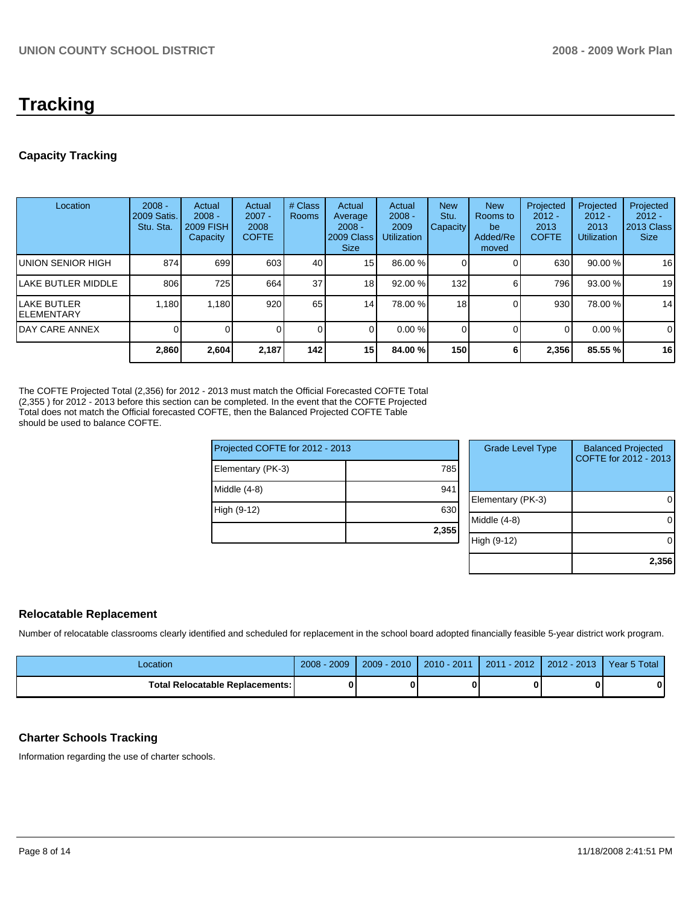# **Tracking**

# **Capacity Tracking**

|                                   | 2,860                                | 2,604                                              | 2,187                                      | 142              | 15                                                         | 84.00 %                                          | 150                            | 6                                                 | 2,356                                         | 85.55 %                                             | 16                                                 |
|-----------------------------------|--------------------------------------|----------------------------------------------------|--------------------------------------------|------------------|------------------------------------------------------------|--------------------------------------------------|--------------------------------|---------------------------------------------------|-----------------------------------------------|-----------------------------------------------------|----------------------------------------------------|
| <b>IDAY CARE ANNEX</b>            |                                      |                                                    |                                            | $\overline{0}$   |                                                            | 0.00%                                            |                                |                                                   | 0                                             | 0.00%                                               | $\mathbf 0$                                        |
| <b>LAKE BUTLER</b><br>IELEMENTARY | 1,180                                | 1,180                                              | 920                                        | 65               | 14                                                         | 78.00 %                                          | 18                             |                                                   | 930                                           | 78.00 %                                             | 14                                                 |
| <b>ILAKE BUTLER MIDDLE</b>        | 806                                  | 725                                                | 664                                        | 37 <sup>1</sup>  | 18                                                         | 92.00 %                                          | 132                            | 6                                                 | 796 l                                         | 93.00 %                                             | 19                                                 |
| UNION SENIOR HIGH                 | 874                                  | 699                                                | 603                                        | 40               | 15                                                         | 86.00 %                                          |                                |                                                   | 630                                           | 90.00 %                                             | 16                                                 |
| Location                          | $2008 -$<br>2009 Satis.<br>Stu. Sta. | Actual<br>$2008 -$<br><b>2009 FISH</b><br>Capacity | Actual<br>$2007 -$<br>2008<br><b>COFTE</b> | # Class<br>Rooms | Actual<br>Average<br>$2008 -$<br>2009 Class<br><b>Size</b> | Actual<br>$2008 -$<br>2009<br><b>Utilization</b> | <b>New</b><br>Stu.<br>Capacity | <b>New</b><br>Rooms to<br>be<br>Added/Re<br>moved | Projected<br>$2012 -$<br>2013<br><b>COFTE</b> | Projected<br>$2012 -$<br>2013<br><b>Utilization</b> | Projected<br>$2012 -$<br>2013 Class<br><b>Size</b> |

The COFTE Projected Total (2,356) for 2012 - 2013 must match the Official Forecasted COFTE Total (2,355 ) for 2012 - 2013 before this section can be completed. In the event that the COFTE Projected Total does not match the Official forecasted COFTE, then the Balanced Projected COFTE Table should be used to balance COFTE.

|                                 | 2,355 |
|---------------------------------|-------|
| High (9-12)                     | 630   |
| Middle $(4-8)$                  | 941   |
| Elementary (PK-3)               | 785   |
| Projected COFTE for 2012 - 2013 |       |

| <b>Grade Level Type</b> | <b>Balanced Projected</b><br>COFTE for 2012 - 2013 |
|-------------------------|----------------------------------------------------|
| Elementary (PK-3)       |                                                    |
| Middle (4-8)            |                                                    |
| High (9-12)             |                                                    |
|                         | 2,356                                              |

# **Relocatable Replacement**

Number of relocatable classrooms clearly identified and scheduled for replacement in the school board adopted financially feasible 5-year district work program.

| Location                               | $2008 - 2009$ | $2009 - 2010$ | 2010 - 2011 | 2011 - 2012 2012 - 2013 | Year 5 Total |
|----------------------------------------|---------------|---------------|-------------|-------------------------|--------------|
| <b>Total Relocatable Replacements:</b> |               |               |             |                         | 0            |

# **Charter Schools Tracking**

Information regarding the use of charter schools.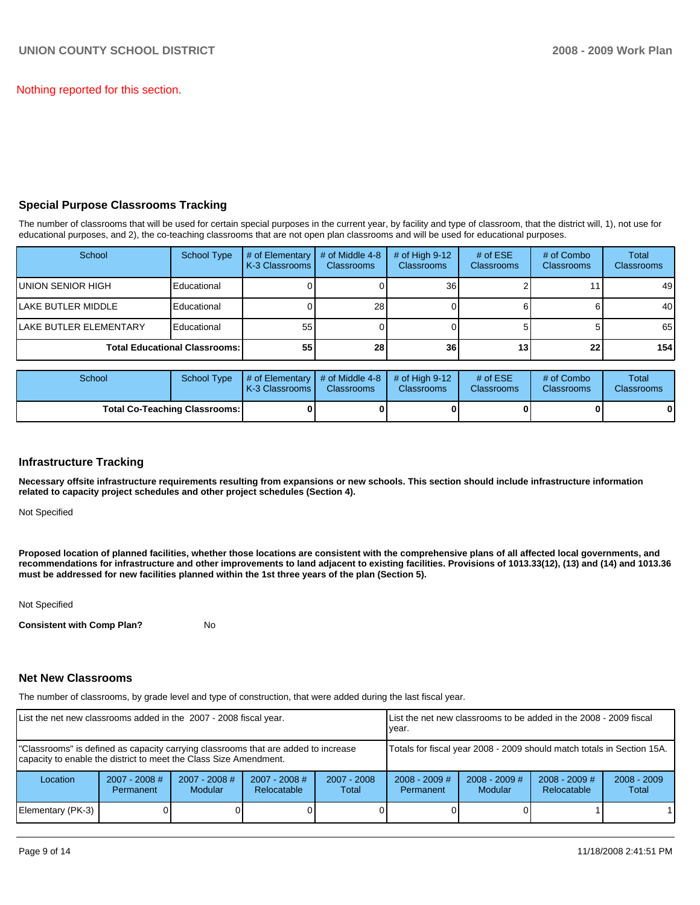Nothing reported for this section.

## **Special Purpose Classrooms Tracking**

The number of classrooms that will be used for certain special purposes in the current year, by facility and type of classroom, that the district will, 1), not use for educational purposes, and 2), the co-teaching classrooms that are not open plan classrooms and will be used for educational purposes.

| School                         | <b>School Type</b>                   | # of Elementary<br>K-3 Classrooms | # of Middle 4-8<br><b>Classrooms</b> | $#$ of High 9-12<br><b>Classrooms</b> | # of $ESE$<br><b>Classrooms</b> | # of Combo<br><b>Classrooms</b> | Total<br>Classrooms |
|--------------------------------|--------------------------------------|-----------------------------------|--------------------------------------|---------------------------------------|---------------------------------|---------------------------------|---------------------|
| <b>IUNION SENIOR HIGH</b>      | Educational                          |                                   |                                      | 36                                    |                                 |                                 | 49                  |
| <b>ILAKE BUTLER MIDDLE</b>     | Educational                          |                                   | 28                                   |                                       |                                 |                                 | 40                  |
| <b>ILAKE BUTLER ELEMENTARY</b> | Educational                          | 55                                |                                      |                                       |                                 |                                 | 65                  |
|                                | <b>Total Educational Classrooms:</b> | 55                                | 28 <sub>l</sub>                      | 36                                    | 13 <sub>1</sub>                 | 22                              | 154                 |

| School                        | School Type | # of Elementary  # of Middle 4-8  # of High 9-12<br><b>K-3 Classrooms I</b> | <b>Classrooms</b> | <b>Classrooms</b> | # of $ESE$<br><b>Classrooms</b> | # of Combo<br><b>Classrooms</b> | Total<br><b>Classrooms</b> |
|-------------------------------|-------------|-----------------------------------------------------------------------------|-------------------|-------------------|---------------------------------|---------------------------------|----------------------------|
| Total Co-Teaching Classrooms: |             |                                                                             |                   |                   |                                 | 0                               | 0                          |

## **Infrastructure Tracking**

**Necessary offsite infrastructure requirements resulting from expansions or new schools. This section should include infrastructure information related to capacity project schedules and other project schedules (Section 4).** 

Not Specified

**Proposed location of planned facilities, whether those locations are consistent with the comprehensive plans of all affected local governments, and recommendations for infrastructure and other improvements to land adjacent to existing facilities. Provisions of 1013.33(12), (13) and (14) and 1013.36 must be addressed for new facilities planned within the 1st three years of the plan (Section 5).** 

Not Specified

**Consistent with Comp Plan?** No

### **Net New Classrooms**

The number of classrooms, by grade level and type of construction, that were added during the last fiscal year.

| List the net new classrooms added in the 2007 - 2008 fiscal year.                                                                                       |                                     |                                   |                                                                        | List the net new classrooms to be added in the 2008 - 2009 fiscal<br>year. |                                     |                                   |                                |                        |
|---------------------------------------------------------------------------------------------------------------------------------------------------------|-------------------------------------|-----------------------------------|------------------------------------------------------------------------|----------------------------------------------------------------------------|-------------------------------------|-----------------------------------|--------------------------------|------------------------|
| "Classrooms" is defined as capacity carrying classrooms that are added to increase<br>capacity to enable the district to meet the Class Size Amendment. |                                     |                                   | Totals for fiscal year 2008 - 2009 should match totals in Section 15A. |                                                                            |                                     |                                   |                                |                        |
| Location                                                                                                                                                | $2007 - 2008$ #<br><b>Permanent</b> | $2007 - 2008$ #<br><b>Modular</b> | $2007 - 2008$ #<br>Relocatable                                         | $2007 - 2008$<br>Total                                                     | $2008 - 2009$ #<br><b>Permanent</b> | $2008 - 2009$ #<br><b>Modular</b> | $2008 - 2009$ #<br>Relocatable | $2008 - 2009$<br>Total |
| Elementary (PK-3)                                                                                                                                       |                                     |                                   |                                                                        |                                                                            |                                     |                                   |                                |                        |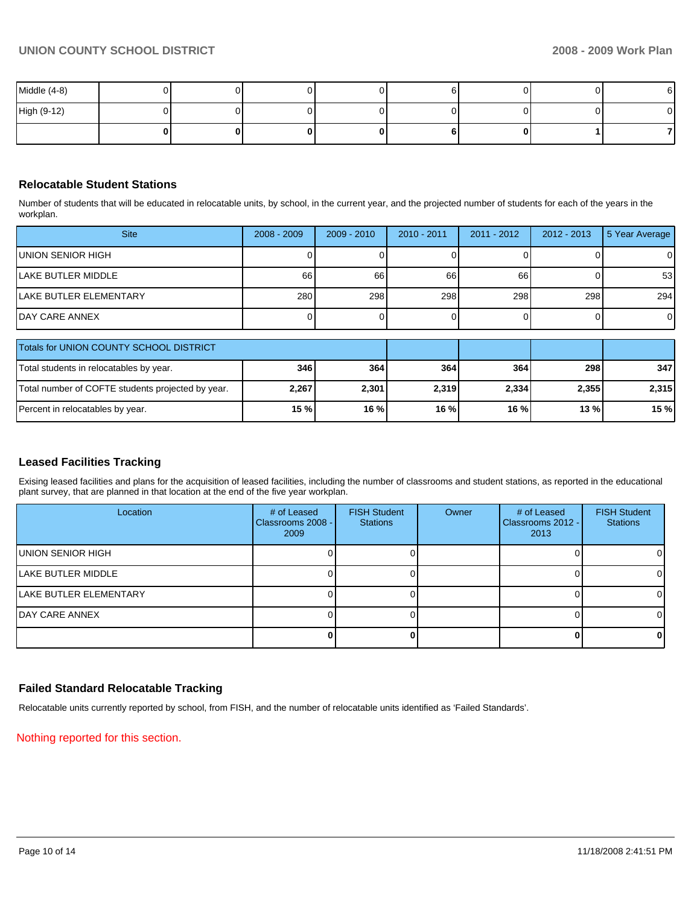| Middle (4-8) |  |  |  |  |
|--------------|--|--|--|--|
| High (9-12)  |  |  |  |  |
|              |  |  |  |  |

## **Relocatable Student Stations**

Number of students that will be educated in relocatable units, by school, in the current year, and the projected number of students for each of the years in the workplan.

| <b>Site</b>                | $2008 - 2009$ | $2009 - 2010$ | $2010 - 2011$ | $2011 - 2012$ | 2012 - 2013 | 5 Year Average |
|----------------------------|---------------|---------------|---------------|---------------|-------------|----------------|
| <b>IUNION SENIOR HIGH</b>  |               |               |               |               |             | $\overline{0}$ |
| <b>ILAKE BUTLER MIDDLE</b> | 66            | 66            | 66            | 66            |             | 53             |
| LAKE BUTLER ELEMENTARY     | 280           | 298           | 298           | 298           | 298         | 294            |
| <b>IDAY CARE ANNEX</b>     |               |               |               |               |             | $\overline{0}$ |

| Totals for UNION COUNTY SCHOOL DISTRICT           |       |         |       |       |       |       |
|---------------------------------------------------|-------|---------|-------|-------|-------|-------|
| Total students in relocatables by year.           | 346   | 364     | 364   | 364   | 298   | 347   |
| Total number of COFTE students projected by year. | 2,267 | 2,301   | 2.319 | 2,334 | 2.355 | 2.315 |
| Percent in relocatables by year.                  | 15 %  | $16 \%$ | 16 %  | 16 %  | 13 %  | 15%   |

# **Leased Facilities Tracking**

Exising leased facilities and plans for the acquisition of leased facilities, including the number of classrooms and student stations, as reported in the educational plant survey, that are planned in that location at the end of the five year workplan.

| Location               | # of Leased<br>Classrooms 2008 - I<br>2009 | <b>FISH Student</b><br><b>Stations</b> | Owner | # of Leased<br>Classrooms 2012 - I<br>2013 | <b>FISH Student</b><br><b>Stations</b> |
|------------------------|--------------------------------------------|----------------------------------------|-------|--------------------------------------------|----------------------------------------|
| IUNION SENIOR HIGH     |                                            |                                        |       |                                            | $\Omega$                               |
| llake butler middle    |                                            |                                        |       |                                            | $\Omega$                               |
| LAKE BUTLER ELEMENTARY |                                            |                                        |       |                                            | $\Omega$                               |
| DAY CARE ANNEX         |                                            |                                        |       |                                            | ΟI                                     |
|                        |                                            |                                        |       |                                            | 01                                     |

## **Failed Standard Relocatable Tracking**

Relocatable units currently reported by school, from FISH, and the number of relocatable units identified as 'Failed Standards'.

Nothing reported for this section.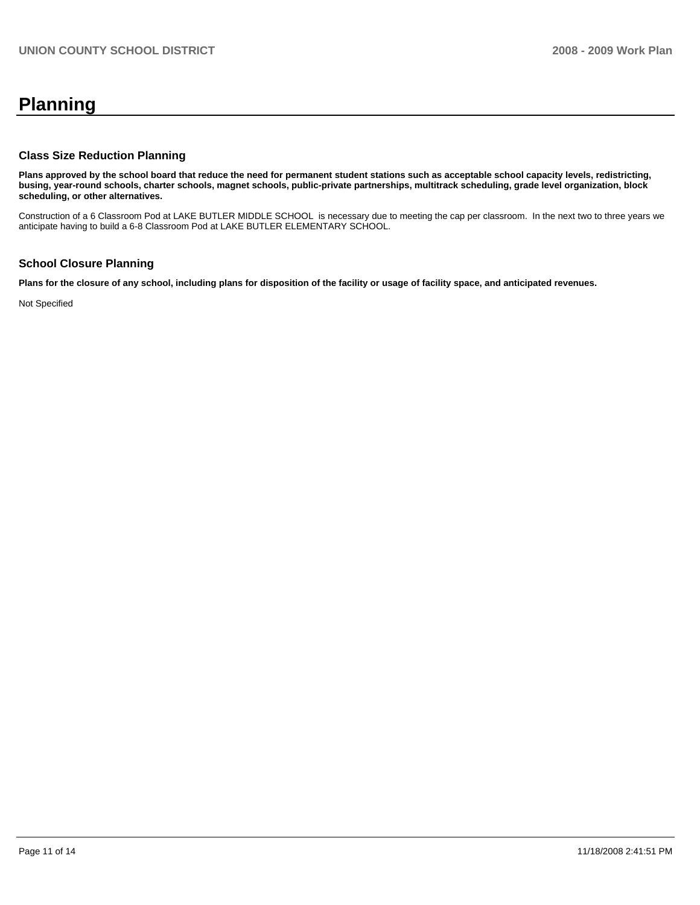# **Planning**

# **Class Size Reduction Planning**

**Plans approved by the school board that reduce the need for permanent student stations such as acceptable school capacity levels, redistricting, busing, year-round schools, charter schools, magnet schools, public-private partnerships, multitrack scheduling, grade level organization, block scheduling, or other alternatives.** 

Construction of a 6 Classroom Pod at LAKE BUTLER MIDDLE SCHOOL is necessary due to meeting the cap per classroom. In the next two to three years we anticipate having to build a 6-8 Classroom Pod at LAKE BUTLER ELEMENTARY SCHOOL.

# **School Closure Planning**

**Plans for the closure of any school, including plans for disposition of the facility or usage of facility space, and anticipated revenues.** 

Not Specified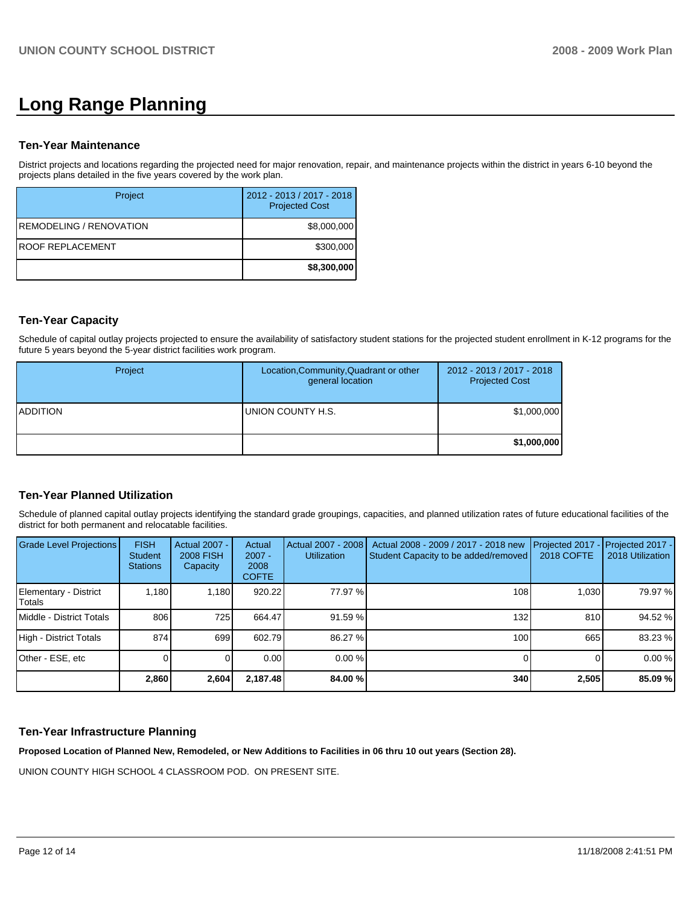# **Long Range Planning**

## **Ten-Year Maintenance**

District projects and locations regarding the projected need for major renovation, repair, and maintenance projects within the district in years 6-10 beyond the projects plans detailed in the five years covered by the work plan.

| Project                  | 2012 - 2013 / 2017 - 2018<br><b>Projected Cost</b> |
|--------------------------|----------------------------------------------------|
| IREMODELING / RENOVATION | \$8,000,000                                        |
| IROOF REPLACEMENT        | \$300,000                                          |
|                          | \$8,300,000                                        |

# **Ten-Year Capacity**

Schedule of capital outlay projects projected to ensure the availability of satisfactory student stations for the projected student enrollment in K-12 programs for the future 5 years beyond the 5-year district facilities work program.

| Project          | Location, Community, Quadrant or other<br>general location | 2012 - 2013 / 2017 - 2018<br><b>Projected Cost</b> |
|------------------|------------------------------------------------------------|----------------------------------------------------|
| <b>IADDITION</b> | UNION COUNTY H.S.                                          | \$1,000,000                                        |
|                  |                                                            | \$1,000,000                                        |

# **Ten-Year Planned Utilization**

Schedule of planned capital outlay projects identifying the standard grade groupings, capacities, and planned utilization rates of future educational facilities of the district for both permanent and relocatable facilities.

| Grade Level Projections         | <b>FISH</b><br><b>Student</b><br><b>Stations</b> | <b>Actual 2007 -</b><br><b>2008 FISH</b><br>Capacity | Actual<br>$2007 -$<br>2008<br><b>COFTE</b> | Actual 2007 - 2008<br><b>Utilization</b> | Actual 2008 - 2009 / 2017 - 2018 new<br>Student Capacity to be added/removed | Projected 2017<br><b>2018 COFTE</b> | Projected 2017 -<br>2018 Utilization |
|---------------------------------|--------------------------------------------------|------------------------------------------------------|--------------------------------------------|------------------------------------------|------------------------------------------------------------------------------|-------------------------------------|--------------------------------------|
| Elementary - District<br>Totals | 1.180                                            | 1.180                                                | 920.22                                     | 77.97 %                                  | 108                                                                          | 1.030                               | 79.97 %                              |
| I Middle - District Totals      | 806                                              | 725                                                  | 664.47                                     | 91.59 %                                  | 132                                                                          | 810                                 | 94.52 %                              |
| High - District Totals          | 874                                              | 699                                                  | 602.79                                     | 86.27 %                                  | 100                                                                          | 665                                 | 83.23 %                              |
| Other - ESE, etc                |                                                  |                                                      | 0.00                                       | $0.00 \%$                                |                                                                              |                                     | 0.00%                                |
|                                 | 2,860                                            | 2,604                                                | 2,187.48                                   | 84.00 %                                  | 340                                                                          | 2,505                               | 85.09 %                              |

# **Ten-Year Infrastructure Planning**

**Proposed Location of Planned New, Remodeled, or New Additions to Facilities in 06 thru 10 out years (Section 28).** 

UNION COUNTY HIGH SCHOOL 4 CLASSROOM POD. ON PRESENT SITE.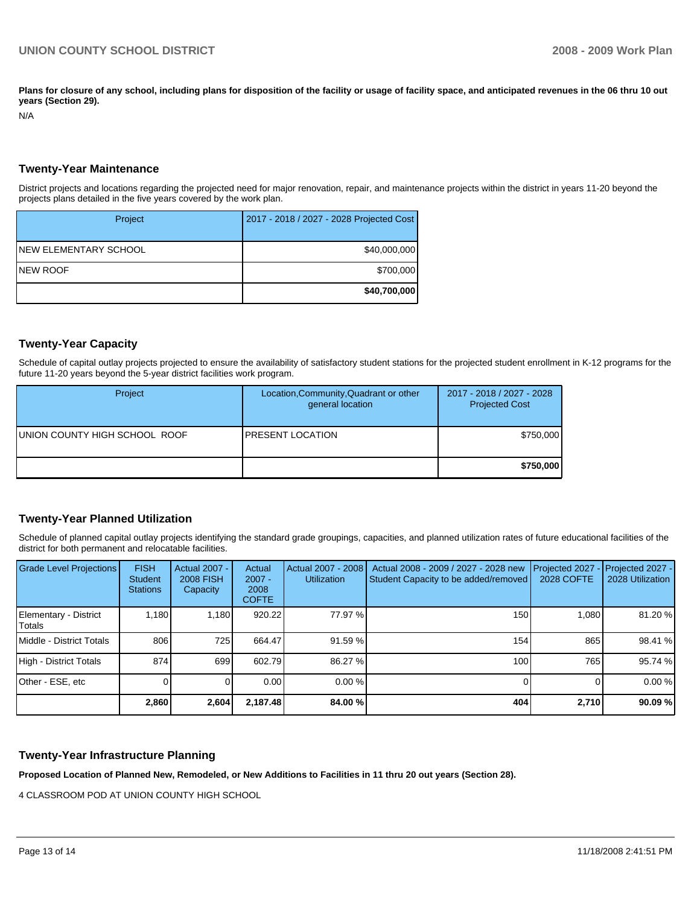Plans for closure of any school, including plans for disposition of the facility or usage of facility space, and anticipated revenues in the 06 thru 10 out **years (Section 29).** 

N/A

### **Twenty-Year Maintenance**

District projects and locations regarding the projected need for major renovation, repair, and maintenance projects within the district in years 11-20 beyond the projects plans detailed in the five years covered by the work plan.

| Project                | 2017 - 2018 / 2027 - 2028 Projected Cost |
|------------------------|------------------------------------------|
| INEW ELEMENTARY SCHOOL | \$40,000,000                             |
| INEW ROOF              | \$700,000                                |
|                        | \$40,700,000                             |

## **Twenty-Year Capacity**

Schedule of capital outlay projects projected to ensure the availability of satisfactory student stations for the projected student enrollment in K-12 programs for the future 11-20 years beyond the 5-year district facilities work program.

| Project                       | Location, Community, Quadrant or other<br>general location | 2017 - 2018 / 2027 - 2028<br><b>Projected Cost</b> |
|-------------------------------|------------------------------------------------------------|----------------------------------------------------|
| UNION COUNTY HIGH SCHOOL ROOF | <b>IPRESENT LOCATION</b>                                   | \$750,000                                          |
|                               |                                                            | \$750,000                                          |

### **Twenty-Year Planned Utilization**

Schedule of planned capital outlay projects identifying the standard grade groupings, capacities, and planned utilization rates of future educational facilities of the district for both permanent and relocatable facilities.

| <b>Grade Level Projections</b>  | <b>FISH</b><br><b>Student</b><br><b>Stations</b> | <b>Actual 2007 -</b><br><b>2008 FISH</b><br>Capacity | Actual<br>$2007 -$<br>2008<br><b>COFTE</b> | Actual 2007 - 2008<br><b>Utilization</b> | Actual 2008 - 2009 / 2027 - 2028 new<br>Student Capacity to be added/removed | Projected 2027<br><b>2028 COFTE</b> | Projected 2027 -<br>2028 Utilization |
|---------------------------------|--------------------------------------------------|------------------------------------------------------|--------------------------------------------|------------------------------------------|------------------------------------------------------------------------------|-------------------------------------|--------------------------------------|
| Elementary - District<br>Totals | 1,180                                            | 1.180                                                | 920.22                                     | 77.97 %                                  | 150                                                                          | 1.080                               | 81.20 %                              |
| Middle - District Totals        | 806                                              | 725 l                                                | 664.47                                     | 91.59 %                                  | 154                                                                          | 865                                 | 98.41 %                              |
| High - District Totals          | 874                                              | 699                                                  | 602.79                                     | 86.27 %                                  | 100                                                                          | 765                                 | 95.74 %                              |
| Other - ESE, etc                |                                                  |                                                      | 0.00                                       | $0.00 \%$                                |                                                                              |                                     | 0.00%                                |
|                                 | 2,860                                            | 2,604                                                | 2,187.48                                   | 84.00 %                                  | 404                                                                          | 2,710                               | 90.09%                               |

### **Twenty-Year Infrastructure Planning**

**Proposed Location of Planned New, Remodeled, or New Additions to Facilities in 11 thru 20 out years (Section 28).** 

4 CLASSROOM POD AT UNION COUNTY HIGH SCHOOL